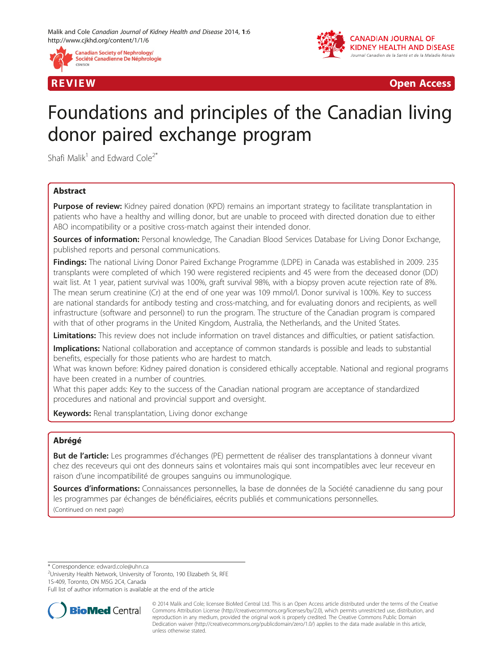



R EVI EW Open Access

# Foundations and principles of the Canadian living donor paired exchange program

Shafi Malik<sup>1</sup> and Edward Cole<sup>2\*</sup>

# Abstract

**Purpose of review:** Kidney paired donation (KPD) remains an important strategy to facilitate transplantation in patients who have a healthy and willing donor, but are unable to proceed with directed donation due to either ABO incompatibility or a positive cross-match against their intended donor.

Sources of information: Personal knowledge, The Canadian Blood Services Database for Living Donor Exchange, published reports and personal communications.

Findings: The national Living Donor Paired Exchange Programme (LDPE) in Canada was established in 2009. 235 transplants were completed of which 190 were registered recipients and 45 were from the deceased donor (DD) wait list. At 1 year, patient survival was 100%, graft survival 98%, with a biopsy proven acute rejection rate of 8%. The mean serum creatinine (Cr) at the end of one year was 109 mmol/l. Donor survival is 100%. Key to success are national standards for antibody testing and cross-matching, and for evaluating donors and recipients, as well infrastructure (software and personnel) to run the program. The structure of the Canadian program is compared with that of other programs in the United Kingdom, Australia, the Netherlands, and the United States.

Limitations: This review does not include information on travel distances and difficulties, or patient satisfaction.

**Implications:** National collaboration and acceptance of common standards is possible and leads to substantial benefits, especially for those patients who are hardest to match.

What was known before: Kidney paired donation is considered ethically acceptable. National and regional programs have been created in a number of countries.

What this paper adds: Key to the success of the Canadian national program are acceptance of standardized procedures and national and provincial support and oversight.

Keywords: Renal transplantation, Living donor exchange

# Abrégé

But de l'article: Les programmes d'échanges (PE) permettent de réaliser des transplantations à donneur vivant chez des receveurs qui ont des donneurs sains et volontaires mais qui sont incompatibles avec leur receveur en raison d'une incompatibilité de groupes sanguins ou immunologique.

Sources d'informations: Connaissances personnelles, la base de données de la Société canadienne du sang pour les programmes par échanges de bénéficiaires, eécrits publiés et communications personnelles. (Continued on next page)

\* Correspondence: [edward.cole@uhn.ca](mailto:edward.cole@uhn.ca) <sup>2</sup>

<sup>2</sup>University Health Network, University of Toronto, 190 Elizabeth St, RFE 1S-409, Toronto, ON M5G 2C4, Canada

Full list of author information is available at the end of the article



<sup>© 2014</sup> Malik and Cole; licensee BioMed Central Ltd. This is an Open Access article distributed under the terms of the Creative Commons Attribution License [\(http://creativecommons.org/licenses/by/2.0\)](http://creativecommons.org/licenses/by/2.0), which permits unrestricted use, distribution, and reproduction in any medium, provided the original work is properly credited. The Creative Commons Public Domain Dedication waiver [\(http://creativecommons.org/publicdomain/zero/1.0/](http://creativecommons.org/publicdomain/zero/1.0/)) applies to the data made available in this article, unless otherwise stated.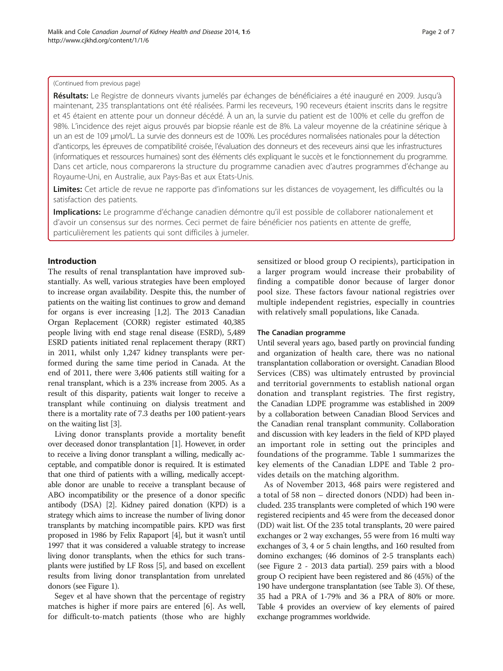## (Continued from previous page)

Résultats: Le Registre de donneurs vivants jumelés par échanges de bénéficiaires a été inauguré en 2009. Jusqu'à maintenant, 235 transplantations ont été réalisées. Parmi les receveurs, 190 receveurs étaient inscrits dans le regsitre et 45 étaient en attente pour un donneur décédé. À un an, la survie du patient est de 100% et celle du greffon de 98%. L'incidence des rejet aigus prouvés par biopsie réanle est de 8%. La valeur moyenne de la créatinine sérique à un an est de 109 μmol/L. La survie des donneurs est de 100%. Les procédures normalisées nationales pour la détection d'anticorps, les épreuves de compatibilité croisée, l'évaluation des donneurs et des receveurs ainsi que les infrastructures (informatiques et ressources humaines) sont des éléments clés expliquant le succès et le fonctionnement du programme. Dans cet article, nous comparerons la structure du programme canadien avec d'autres programmes d'échange au Royaume-Uni, en Australie, aux Pays-Bas et aux Etats-Unis.

Limites: Cet article de revue ne rapporte pas d'infomations sur les distances de voyagement, les difficultés ou la satisfaction des patients.

Implications: Le programme d'échange canadien démontre qu'il est possible de collaborer nationalement et d'avoir un consensus sur des normes. Ceci permet de faire bénéficier nos patients en attente de greffe, particulièrement les patients qui sont difficiles à jumeler.

# Introduction

The results of renal transplantation have improved substantially. As well, various strategies have been employed to increase organ availability. Despite this, the number of patients on the waiting list continues to grow and demand for organs is ever increasing [[1,2\]](#page-6-0). The 2013 Canadian Organ Replacement (CORR) register estimated 40,385 people living with end stage renal disease (ESRD), 5,489 ESRD patients initiated renal replacement therapy (RRT) in 2011, whilst only 1,247 kidney transplants were performed during the same time period in Canada. At the end of 2011, there were 3,406 patients still waiting for a renal transplant, which is a 23% increase from 2005. As a result of this disparity, patients wait longer to receive a transplant while continuing on dialysis treatment and there is a mortality rate of 7.3 deaths per 100 patient-years on the waiting list [\[3\]](#page-6-0).

Living donor transplants provide a mortality benefit over deceased donor transplantation [\[1](#page-6-0)]. However, in order to receive a living donor transplant a willing, medically acceptable, and compatible donor is required. It is estimated that one third of patients with a willing, medically acceptable donor are unable to receive a transplant because of ABO incompatibility or the presence of a donor specific antibody (DSA) [\[2](#page-6-0)]. Kidney paired donation (KPD) is a strategy which aims to increase the number of living donor transplants by matching incompatible pairs. KPD was first proposed in 1986 by Felix Rapaport [\[4\]](#page-6-0), but it wasn't until 1997 that it was considered a valuable strategy to increase living donor transplants, when the ethics for such transplants were justified by LF Ross [[5](#page-6-0)], and based on excellent results from living donor transplantation from unrelated donors (see Figure [1](#page-2-0)).

Segev et al have shown that the percentage of registry matches is higher if more pairs are entered [[6\]](#page-6-0). As well, for difficult-to-match patients (those who are highly sensitized or blood group O recipients), participation in a larger program would increase their probability of finding a compatible donor because of larger donor pool size. These factors favour national registries over multiple independent registries, especially in countries with relatively small populations, like Canada.

# The Canadian programme

Until several years ago, based partly on provincial funding and organization of health care, there was no national transplantation collaboration or oversight. Canadian Blood Services (CBS) was ultimately entrusted by provincial and territorial governments to establish national organ donation and transplant registries. The first registry, the Canadian LDPE programme was established in 2009 by a collaboration between Canadian Blood Services and the Canadian renal transplant community. Collaboration and discussion with key leaders in the field of KPD played an important role in setting out the principles and foundations of the programme. Table [1](#page-2-0) summarizes the key elements of the Canadian LDPE and Table [2](#page-3-0) provides details on the matching algorithm.

As of November 2013, 468 pairs were registered and a total of 58 non – directed donors (NDD) had been included. 235 transplants were completed of which 190 were registered recipients and 45 were from the deceased donor (DD) wait list. Of the 235 total transplants, 20 were paired exchanges or 2 way exchanges, 55 were from 16 multi way exchanges of 3, 4 or 5 chain lengths, and 160 resulted from domino exchanges; (46 dominos of 2-5 transplants each) (see Figure [2](#page-3-0) - 2013 data partial). 259 pairs with a blood group O recipient have been registered and 86 (45%) of the 190 have undergone transplantation (see Table [3](#page-3-0)). Of these, 35 had a PRA of 1-79% and 36 a PRA of 80% or more. Table [4](#page-4-0) provides an overview of key elements of paired exchange programmes worldwide.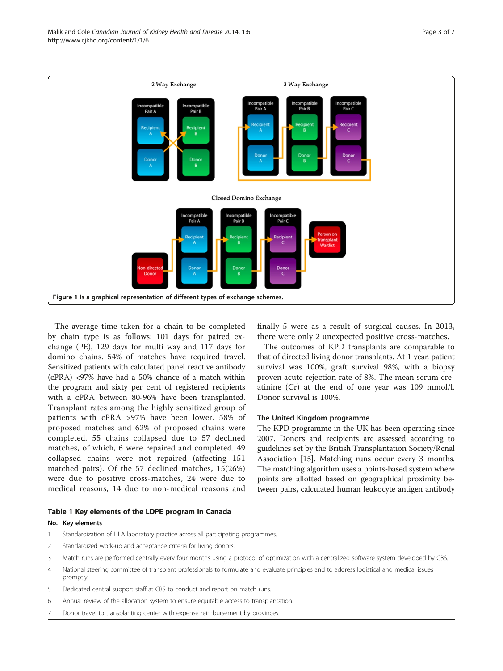<span id="page-2-0"></span>

The average time taken for a chain to be completed by chain type is as follows: 101 days for paired exchange (PE), 129 days for multi way and 117 days for domino chains. 54% of matches have required travel. Sensitized patients with calculated panel reactive antibody (cPRA) <97% have had a 50% chance of a match within the program and sixty per cent of registered recipients with a cPRA between 80-96% have been transplanted. Transplant rates among the highly sensitized group of patients with cPRA >97% have been lower. 58% of proposed matches and 62% of proposed chains were completed. 55 chains collapsed due to 57 declined matches, of which, 6 were repaired and completed. 49 collapsed chains were not repaired (affecting 151 matched pairs). Of the 57 declined matches, 15(26%) were due to positive cross-matches, 24 were due to medical reasons, 14 due to non-medical reasons and

finally 5 were as a result of surgical causes. In 2013, there were only 2 unexpected positive cross-matches.

The outcomes of KPD transplants are comparable to that of directed living donor transplants. At 1 year, patient survival was 100%, graft survival 98%, with a biopsy proven acute rejection rate of 8%. The mean serum creatinine (Cr) at the end of one year was 109 mmol/l. Donor survival is 100%.

# The United Kingdom programme

The KPD programme in the UK has been operating since 2007. Donors and recipients are assessed according to guidelines set by the British Transplantation Society/Renal Association [[15](#page-6-0)]. Matching runs occur every 3 months. The matching algorithm uses a points-based system where points are allotted based on geographical proximity between pairs, calculated human leukocyte antigen antibody

|  |  | Table 1 Key elements of the LDPE program in Canada |  |  |  |  |  |  |
|--|--|----------------------------------------------------|--|--|--|--|--|--|
|--|--|----------------------------------------------------|--|--|--|--|--|--|

|   | No. Key elements                                                                                                                                       |
|---|--------------------------------------------------------------------------------------------------------------------------------------------------------|
|   | Standardization of HLA laboratory practice across all participating programmes.                                                                        |
|   | Standardized work-up and acceptance criteria for living donors.                                                                                        |
|   | Match runs are performed centrally every four months using a protocol of optimization with a centralized software system developed by CBS.             |
| 4 | National steering committee of transplant professionals to formulate and evaluate principles and to address logistical and medical issues<br>promptly. |

- 5 Dedicated central support staff at CBS to conduct and report on match runs.
- 6 Annual review of the allocation system to ensure equitable access to transplantation.
- Donor travel to transplanting center with expense reimbursement by provinces.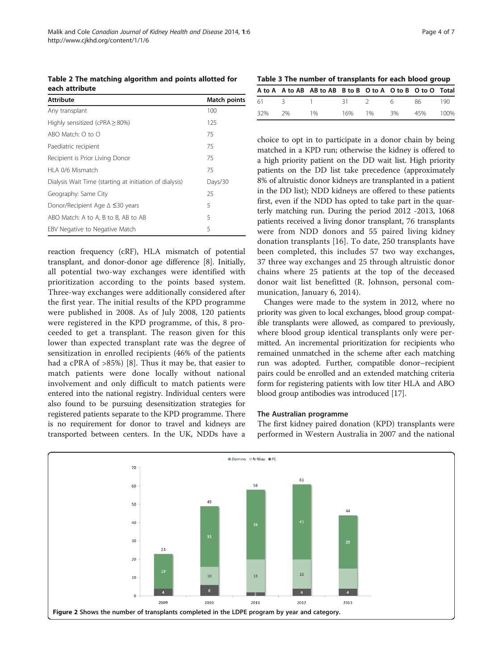<span id="page-3-0"></span>Table 2 The matching algorithm and points allotted for each attribute

| <b>Attribute</b>                                        | <b>Match points</b> |
|---------------------------------------------------------|---------------------|
| Any transplant                                          | 100                 |
| Highly sensitized (cPRA $\geq$ 80%)                     | 125                 |
| ABO Match: $\Omega$ to $\Omega$                         | 75                  |
| Paediatric recipient                                    | 75                  |
| Recipient is Prior Living Donor                         | 75                  |
| HLA 0/6 Mismatch                                        | 75                  |
| Dialysis Wait Time (starting at initiation of dialysis) | Days/30             |
| Geography: Same City                                    | 25                  |
| Donor/Recipient Age ∆ ≤30 years                         | 5                   |
| ABO Match: A to A, B to B, AB to AB                     | 5                   |
| EBV Negative to Negative Match                          | 5                   |

reaction frequency (cRF), HLA mismatch of potential transplant, and donor-donor age difference [[8\]](#page-6-0). Initially, all potential two-way exchanges were identified with prioritization according to the points based system. Three-way exchanges were additionally considered after the first year. The initial results of the KPD programme were published in 2008. As of July 2008, 120 patients were registered in the KPD programme, of this, 8 proceeded to get a transplant. The reason given for this lower than expected transplant rate was the degree of sensitization in enrolled recipients (46% of the patients had a cPRA of >85%) [[8\]](#page-6-0). Thus it may be, that easier to match patients were done locally without national involvement and only difficult to match patients were entered into the national registry. Individual centers were also found to be pursuing desensitization strategies for registered patients separate to the KPD programme. There is no requirement for donor to travel and kidneys are transported between centers. In the UK, NDDs have a

Table 3 The number of transplants for each blood group

|           | A to A A to AB AB to AB B to B O to A O to B O to O Total |  |                    |  |
|-----------|-----------------------------------------------------------|--|--------------------|--|
|           | 61 3 1 31 2 6 86 190                                      |  |                    |  |
| 32% 2% 1% |                                                           |  | 16% 1% 3% 45% 100% |  |

choice to opt in to participate in a donor chain by being matched in a KPD run; otherwise the kidney is offered to a high priority patient on the DD wait list. High priority patients on the DD list take precedence (approximately 8% of altruistic donor kidneys are transplanted in a patient in the DD list); NDD kidneys are offered to these patients first, even if the NDD has opted to take part in the quarterly matching run. During the period 2012 -2013, 1068 patients received a living donor transplant, 76 transplants were from NDD donors and 55 paired living kidney donation transplants [[16](#page-6-0)]. To date, 250 transplants have been completed, this includes 57 two way exchanges, 37 three way exchanges and 25 through altruistic donor chains where 25 patients at the top of the deceased donor wait list benefitted (R. Johnson, personal communication, January 6, 2014).

Changes were made to the system in 2012, where no priority was given to local exchanges, blood group compatible transplants were allowed, as compared to previously, where blood group identical transplants only were permitted. An incremental prioritization for recipients who remained unmatched in the scheme after each matching run was adopted. Further, compatible donor–recipient pairs could be enrolled and an extended matching criteria form for registering patients with low titer HLA and ABO blood group antibodies was introduced [[17](#page-6-0)].

# The Australian programme

The first kidney paired donation (KPD) transplants were performed in Western Australia in 2007 and the national

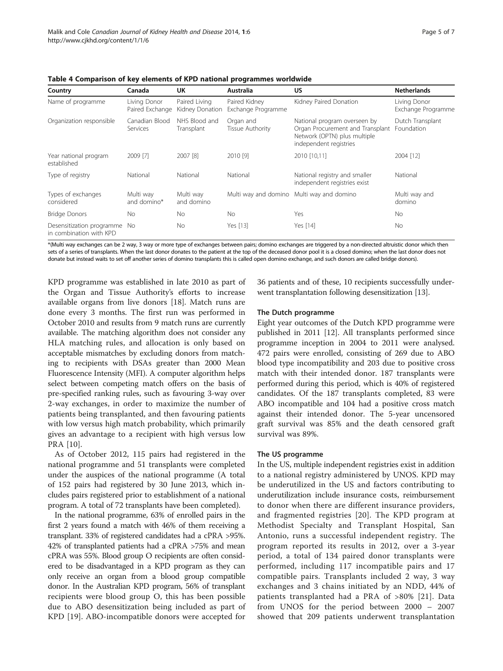Multi way and domino\*

Types of exchanges considered

Desensitization programme in combination with KPD

<span id="page-4-0"></span>

| Table 4 Comparison of key elements of KPD national programmes worldwide |                                 |                                  |                                     |                                                                                                                            |                                    |  |  |
|-------------------------------------------------------------------------|---------------------------------|----------------------------------|-------------------------------------|----------------------------------------------------------------------------------------------------------------------------|------------------------------------|--|--|
| Country                                                                 | Canada                          | UK                               | Australia                           | US                                                                                                                         | <b>Netherlands</b>                 |  |  |
| Name of programme                                                       | Living Donor<br>Paired Exchange | Paired Living<br>Kidney Donation | Paired Kidney<br>Exchange Programme | Kidney Paired Donation                                                                                                     | Living Donor<br>Exchange Programme |  |  |
| Organization responsible                                                | Canadian Blood<br>Services      | NHS Blood and<br>Transplant      | Organ and<br>Tissue Authority       | National program overseen by<br>Organ Procurement and Transplant<br>Network (OPTN) plus multiple<br>independent registries | Dutch Transplant<br>Foundation     |  |  |
| Year national program<br>established                                    | 2009 [7]                        | 2007 [8]                         | 2010 [9]                            | 2010 [10.11]                                                                                                               | 2004 [12]                          |  |  |
| Type of registry                                                        | National                        | National                         | National                            | National registry and smaller<br>independent registries exist                                                              | National                           |  |  |

Table 4 Comparison of key elements of KPD national programmes worldwide

Multi way and domino

\*(Multi way exchanges can be 2 way, 3 way or more type of exchanges between pairs; domino exchanges are triggered by a non-directed altruistic donor which then sets of a series of transplants. When the last donor donates to the patient at the top of the deceased donor pool it is a closed domino; when the last donor does not donate but instead waits to set off another series of domino transplants this is called open domino exchange, and such donors are called bridge donors).

No No Yes [\[13](#page-6-0)] Yes [[14](#page-6-0)] No

Bridge Donors No No No No No Yes No No No

KPD programme was established in late 2010 as part of the Organ and Tissue Authority's efforts to increase available organs from live donors [\[18](#page-6-0)]. Match runs are done every 3 months. The first run was performed in October 2010 and results from 9 match runs are currently available. The matching algorithm does not consider any HLA matching rules, and allocation is only based on acceptable mismatches by excluding donors from matching to recipients with DSAs greater than 2000 Mean Fluorescence Intensity (MFI). A computer algorithm helps select between competing match offers on the basis of pre-specified ranking rules, such as favouring 3-way over 2-way exchanges, in order to maximize the number of patients being transplanted, and then favouring patients with low versus high match probability, which primarily gives an advantage to a recipient with high versus low PRA [[10\]](#page-6-0).

As of October 2012, 115 pairs had registered in the national programme and 51 transplants were completed under the auspices of the national programme (A total of 152 pairs had registered by 30 June 2013, which includes pairs registered prior to establishment of a national program. A total of 72 transplants have been completed).

In the national programme, 63% of enrolled pairs in the first 2 years found a match with 46% of them receiving a transplant. 33% of registered candidates had a cPRA >95%. 42% of transplanted patients had a cPRA >75% and mean cPRA was 55%. Blood group O recipients are often considered to be disadvantaged in a KPD program as they can only receive an organ from a blood group compatible donor. In the Australian KPD program, 56% of transplant recipients were blood group O, this has been possible due to ABO desensitization being included as part of KPD [[19\]](#page-6-0). ABO-incompatible donors were accepted for

36 patients and of these, 10 recipients successfully underwent transplantation following desensitization [\[13\]](#page-6-0).

domino

Multi way and domino Multi way and domino Multi way and

# The Dutch programme

Eight year outcomes of the Dutch KPD programme were published in 2011 [[12\]](#page-6-0). All transplants performed since programme inception in 2004 to 2011 were analysed. 472 pairs were enrolled, consisting of 269 due to ABO blood type incompatibility and 203 due to positive cross match with their intended donor. 187 transplants were performed during this period, which is 40% of registered candidates. Of the 187 transplants completed, 83 were ABO incompatible and 104 had a positive cross match against their intended donor. The 5-year uncensored graft survival was 85% and the death censored graft survival was 89%.

# The US programme

In the US, multiple independent registries exist in addition to a national registry administered by UNOS. KPD may be underutilized in the US and factors contributing to underutilization include insurance costs, reimbursement to donor when there are different insurance providers, and fragmented registries [[20](#page-6-0)]. The KPD program at Methodist Specialty and Transplant Hospital, San Antonio, runs a successful independent registry. The program reported its results in 2012, over a 3-year period, a total of 134 paired donor transplants were performed, including 117 incompatible pairs and 17 compatible pairs. Transplants included 2 way, 3 way exchanges and 3 chains initiated by an NDD, 44% of patients transplanted had a PRA of >80% [\[21](#page-6-0)]. Data from UNOS for the period between 2000 – 2007 showed that 209 patients underwent transplantation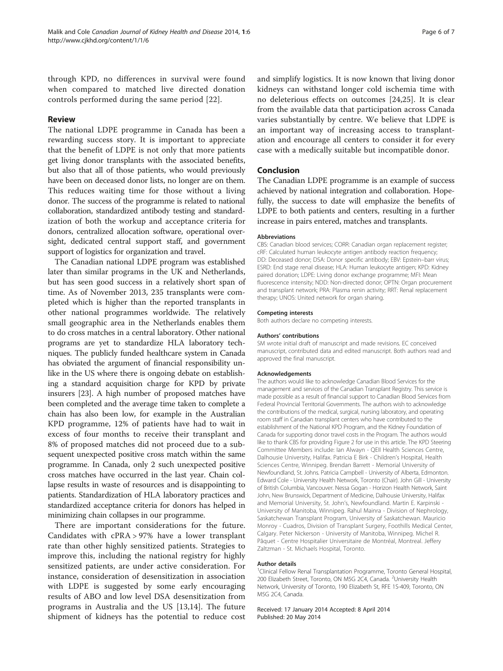through KPD, no differences in survival were found when compared to matched live directed donation controls performed during the same period [\[22](#page-6-0)].

# Review

The national LDPE programme in Canada has been a rewarding success story. It is important to appreciate that the benefit of LDPE is not only that more patients get living donor transplants with the associated benefits, but also that all of those patients, who would previously have been on deceased donor lists, no longer are on them. This reduces waiting time for those without a living donor. The success of the programme is related to national collaboration, standardized antibody testing and standardization of both the workup and acceptance criteria for donors, centralized allocation software, operational oversight, dedicated central support staff, and government support of logistics for organization and travel.

The Canadian national LDPE program was established later than similar programs in the UK and Netherlands, but has seen good success in a relatively short span of time. As of November 2013, 235 transplants were completed which is higher than the reported transplants in other national programmes worldwide. The relatively small geographic area in the Netherlands enables them to do cross matches in a central laboratory. Other national programs are yet to standardize HLA laboratory techniques. The publicly funded healthcare system in Canada has obviated the argument of financial responsibility unlike in the US where there is ongoing debate on establishing a standard acquisition charge for KPD by private insurers [[23](#page-6-0)]. A high number of proposed matches have been completed and the average time taken to complete a chain has also been low, for example in the Australian KPD programme, 12% of patients have had to wait in excess of four months to receive their transplant and 8% of proposed matches did not proceed due to a subsequent unexpected positive cross match within the same programme. In Canada, only 2 such unexpected positive cross matches have occurred in the last year. Chain collapse results in waste of resources and is disappointing to patients. Standardization of HLA laboratory practices and standardized acceptance criteria for donors has helped in minimizing chain collapses in our programme.

There are important considerations for the future. Candidates with cPRA > 97% have a lower transplant rate than other highly sensitized patients. Strategies to improve this, including the national registry for highly sensitized patients, are under active consideration. For instance, consideration of desensitization in association with LDPE is suggested by some early encouraging results of ABO and low level DSA desensitization from programs in Australia and the US [\[13](#page-6-0),[14\]](#page-6-0). The future shipment of kidneys has the potential to reduce cost

and simplify logistics. It is now known that living donor kidneys can withstand longer cold ischemia time with no deleterious effects on outcomes [\[24](#page-6-0),[25\]](#page-6-0). It is clear from the available data that participation across Canada varies substantially by centre. We believe that LDPE is an important way of increasing access to transplantation and encourage all centers to consider it for every case with a medically suitable but incompatible donor.

# Conclusion

The Canadian LDPE programme is an example of success achieved by national integration and collaboration. Hopefully, the success to date will emphasize the benefits of LDPE to both patients and centers, resulting in a further increase in pairs entered, matches and transplants.

# Abbreviations

CBS: Canadian blood services; CORR: Canadian organ replacement register; cRF: Calculated human leukocyte antigen antibody reaction frequency; DD: Deceased donor; DSA: Donor specific antibody; EBV: Epstein–barr virus; ESRD: End stage renal disease; HLA: Human leukocyte antigen; KPD: Kidney paired donation; LDPE: Living donor exchange programme; MFI: Mean fluorescence intensity; NDD: Non-directed donor; OPTN: Organ procurement and transplant network; PRA: Plasma renin activity; RRT: Renal replacement therapy; UNOS: United network for organ sharing.

## Competing interests

Both authors declare no competing interests.

### Authors' contributions

SM wrote initial draft of manuscript and made revisions. EC conceived manuscript, contributed data and edited manuscript. Both authors read and approved the final manuscript.

### Acknowledgements

The authors would like to acknowledge Canadian Blood Services for the management and services of the Canadian Transplant Registry. This service is made possible as a result of financial support to Canadian Blood Services from Federal Provincial Territorial Governments. The authors wish to acknowledge the contributions of the medical, surgical, nursing laboratory, and operating room staff in Canadian transplant centers who have contributed to the establishment of the National KPD Program, and the Kidney Foundation of Canada for supporting donor travel costs in the Program. The authors would like to thank CBS for providing Figure [2](#page-3-0) for use in this article. The KPD Steering Committee Members include: Ian Alwayn - QEII Health Sciences Centre, Dalhousie University, Halifax. Patricia E Birk - Children's Hospital, Health Sciences Centre, Winnipeg. Brendan Barrett - Memorial University of Newfoundland, St. Johns. Patricia Campbell - University of Alberta, Edmonton. Edward Cole - University Health Network, Toronto (Chair). John Gill - University of British Columbia, Vancouver. Nessa Gogan - Horizon Health Network, Saint John, New Brunswick, Department of Medicine, Dalhousie University, Halifax and Memorial University, St. John's, Newfoundland. Martin E. Karpinski - University of Manitoba, Winnipeg. Rahul Mainra - Division of Nephrology, Saskatchewan Transplant Program, University of Saskatchewan. Mauricio Monroy - Cuadros, Division of Transplant Surgery, Foothills Medical Center, Calgary. Peter Nickerson - University of Manitoba, Winnipeg. Michel R. Pâquet - Centre Hospitalier Universitaire de Montréal, Montreal. Jeffery Zaltzman - St. Michaels Hospital, Toronto.

## Author details

<sup>1</sup>Clinical Fellow Renal Transplantation Programme, Toronto General Hospital 200 Elizabeth Street, Toronto, ON M5G 2C4, Canada. <sup>2</sup>University Health Network, University of Toronto, 190 Elizabeth St, RFE 1S-409, Toronto, ON M5G 2C4, Canada.

Received: 17 January 2014 Accepted: 8 April 2014 Published: 20 May 2014